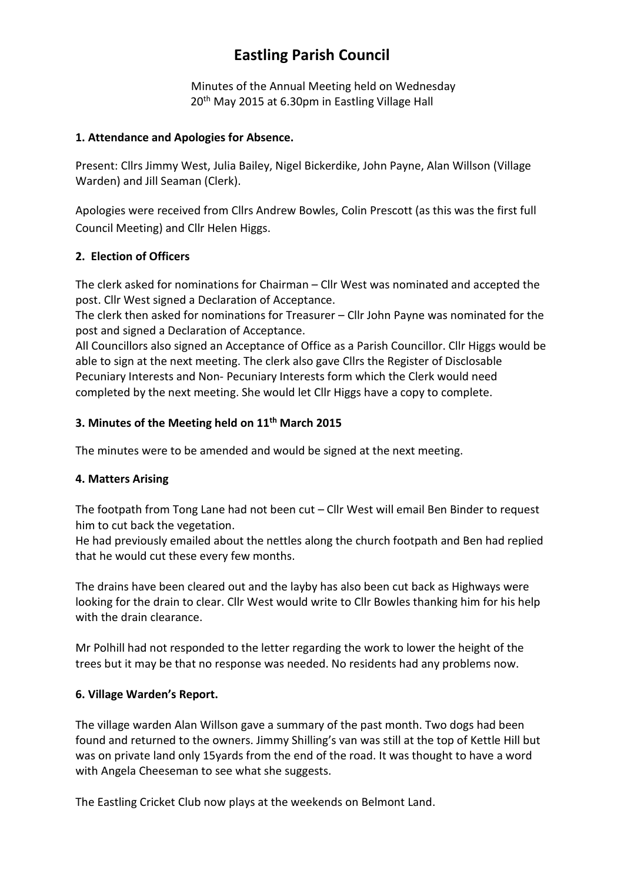# **Eastling Parish Council**

Minutes of the Annual Meeting held on Wednesday 20<sup>th</sup> May 2015 at 6.30pm in Eastling Village Hall

#### **1. Attendance and Apologies for Absence.**

Present: Cllrs Jimmy West, Julia Bailey, Nigel Bickerdike, John Payne, Alan Willson (Village Warden) and Jill Seaman (Clerk).

Apologies were received from Cllrs Andrew Bowles, Colin Prescott (as this was the first full Council Meeting) and Cllr Helen Higgs.

## **2. Election of Officers**

The clerk asked for nominations for Chairman – Cllr West was nominated and accepted the post. Cllr West signed a Declaration of Acceptance.

The clerk then asked for nominations for Treasurer – Cllr John Payne was nominated for the post and signed a Declaration of Acceptance.

All Councillors also signed an Acceptance of Office as a Parish Councillor. Cllr Higgs would be able to sign at the next meeting. The clerk also gave Cllrs the Register of Disclosable Pecuniary Interests and Non- Pecuniary Interests form which the Clerk would need completed by the next meeting. She would let Cllr Higgs have a copy to complete.

#### **3. Minutes of the Meeting held on 11th March 2015**

The minutes were to be amended and would be signed at the next meeting.

## **4. Matters Arising**

The footpath from Tong Lane had not been cut – Cllr West will email Ben Binder to request him to cut back the vegetation.

He had previously emailed about the nettles along the church footpath and Ben had replied that he would cut these every few months.

The drains have been cleared out and the layby has also been cut back as Highways were looking for the drain to clear. Cllr West would write to Cllr Bowles thanking him for his help with the drain clearance.

Mr Polhill had not responded to the letter regarding the work to lower the height of the trees but it may be that no response was needed. No residents had any problems now.

## **6. Village Warden's Report.**

The village warden Alan Willson gave a summary of the past month. Two dogs had been found and returned to the owners. Jimmy Shilling's van was still at the top of Kettle Hill but was on private land only 15yards from the end of the road. It was thought to have a word with Angela Cheeseman to see what she suggests.

The Eastling Cricket Club now plays at the weekends on Belmont Land.